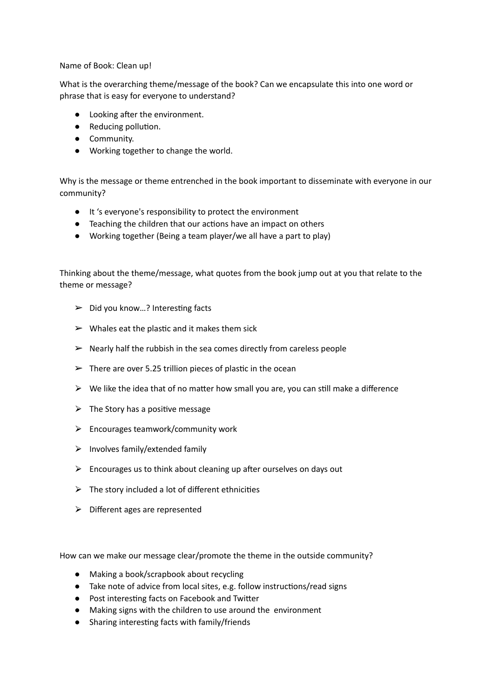Name of Book: Clean up!

What is the overarching theme/message of the book? Can we encapsulate this into one word or phrase that is easy for everyone to understand?

- Looking after the environment.
- Reducing pollution.
- Community.
- Working together to change the world.

Why is the message or theme entrenched in the book important to disseminate with everyone in our community?

- It 's everyone's responsibility to protect the environment
- Teaching the children that our actions have an impact on others
- Working together (Being a team player/we all have a part to play)

Thinking about the theme/message, what quotes from the book jump out at you that relate to the theme or message?

- $\triangleright$  Did you know...? Interesting facts
- $\triangleright$  Whales eat the plastic and it makes them sick
- $\triangleright$  Nearly half the rubbish in the sea comes directly from careless people
- $\geq$  There are over 5.25 trillion pieces of plastic in the ocean
- $\triangleright$  We like the idea that of no matter how small you are, you can still make a difference
- $\triangleright$  The Story has a positive message
- $\triangleright$  Encourages teamwork/community work
- $\triangleright$  Involves family/extended family
- $\triangleright$  Encourages us to think about cleaning up after ourselves on days out
- $\triangleright$  The story included a lot of different ethnicities
- $\triangleright$  Different ages are represented

How can we make our message clear/promote the theme in the outside community?

- Making a book/scrapbook about recycling
- Take note of advice from local sites, e.g. follow instructions/read signs
- Post interesting facts on Facebook and Twitter
- Making signs with the children to use around the environment
- Sharing interesting facts with family/friends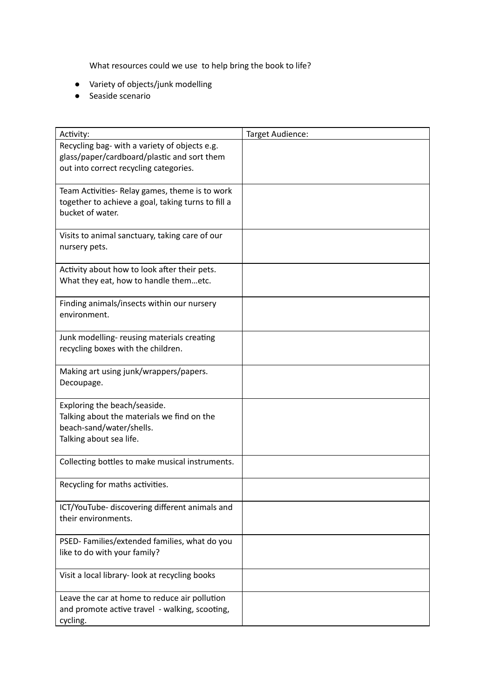What resources could we use to help bring the book to life?

- Variety of objects/junk modelling
- Seaside scenario

| Activity:                                                                                                                              | Target Audience: |
|----------------------------------------------------------------------------------------------------------------------------------------|------------------|
| Recycling bag- with a variety of objects e.g.<br>glass/paper/cardboard/plastic and sort them<br>out into correct recycling categories. |                  |
| Team Activities- Relay games, theme is to work<br>together to achieve a goal, taking turns to fill a<br>bucket of water.               |                  |
| Visits to animal sanctuary, taking care of our<br>nursery pets.                                                                        |                  |
| Activity about how to look after their pets.<br>What they eat, how to handle themetc.                                                  |                  |
| Finding animals/insects within our nursery<br>environment.                                                                             |                  |
| Junk modelling- reusing materials creating<br>recycling boxes with the children.                                                       |                  |
| Making art using junk/wrappers/papers.<br>Decoupage.                                                                                   |                  |
| Exploring the beach/seaside.<br>Talking about the materials we find on the<br>beach-sand/water/shells.<br>Talking about sea life.      |                  |
| Collecting bottles to make musical instruments.                                                                                        |                  |
| Recycling for maths activities.                                                                                                        |                  |
| ICT/YouTube- discovering different animals and<br>their environments.                                                                  |                  |
| PSED-Families/extended families, what do you<br>like to do with your family?                                                           |                  |
| Visit a local library- look at recycling books                                                                                         |                  |
| Leave the car at home to reduce air pollution<br>and promote active travel - walking, scooting,<br>cycling.                            |                  |